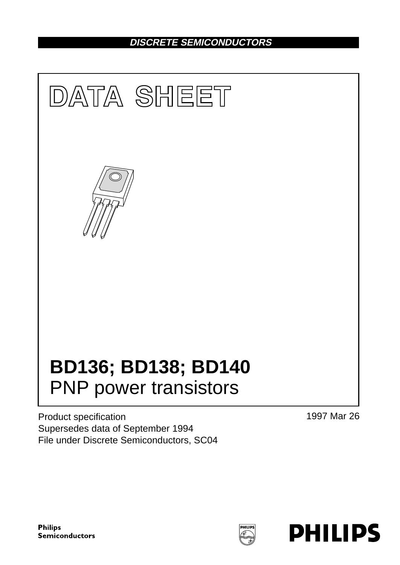## **DISCRETE SEMICONDUCTORS**



Product specification Supersedes data of September 1994 File under Discrete Semiconductors, SC04 1997 Mar 26

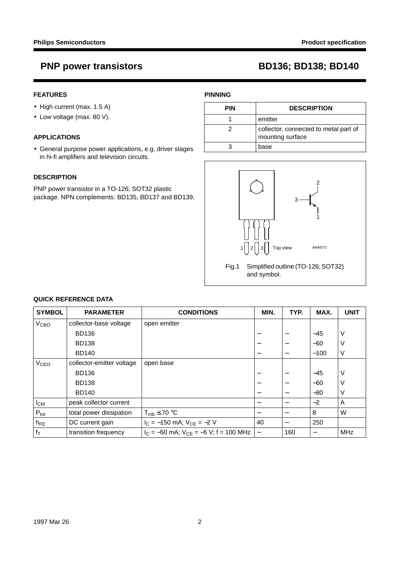## **FEATURES**

- High current (max. 1.5 A)
- Low voltage (max. 80 V).

### **APPLICATIONS**

• General purpose power applications, e.g. driver stages in hi-fi amplifiers and television circuits.

### **DESCRIPTION**

PNP power transistor in a TO-126; SOT32 plastic package. NPN complements: BD135, BD137 and BD139.

## **PINNING**

| <b>PIN</b> | <b>DESCRIPTION</b>                                        |
|------------|-----------------------------------------------------------|
|            | emitter                                                   |
|            | collector, connected to metal part of<br>mounting surface |
|            | base                                                      |



Fig.1 Simplified outline (TO-126; SOT32) and symbol.

| <b>SYMBOL</b>          | <b>PARAMETER</b>          | <b>CONDITIONS</b>                            | MIN.            | TYP.                     | MAX.   | <b>UNIT</b> |
|------------------------|---------------------------|----------------------------------------------|-----------------|--------------------------|--------|-------------|
| <b>V<sub>CBO</sub></b> | collector-base voltage    | open emitter                                 |                 |                          |        |             |
|                        | <b>BD136</b>              |                                              |                 |                          | $-45$  | V           |
|                        | <b>BD138</b>              |                                              | -               | $\overline{\phantom{m}}$ | $-60$  | ν           |
|                        | <b>BD140</b>              |                                              |                 | $\overline{\phantom{m}}$ | $-100$ | V           |
| <b>V<sub>CEO</sub></b> | collector-emitter voltage | open base                                    |                 |                          |        |             |
|                        | <b>BD136</b>              |                                              |                 |                          | $-45$  | $\vee$      |
|                        | <b>BD138</b>              |                                              |                 | $\overline{\phantom{m}}$ | $-60$  | ν           |
|                        | <b>BD140</b>              |                                              |                 |                          | $-80$  | V           |
| $I_{CM}$               | peak collector current    |                                              | $\qquad \qquad$ | $\overline{\phantom{m}}$ | $-2$   | A           |
| $P_{\text{tot}}$       | total power dissipation   | $T_{mb} \leq 70$ °C                          | -               |                          | 8      | W           |
| $h_{FE}$               | DC current gain           | $I_C = -150$ mA; $V_{CE} = -2$ V             | 40              |                          | 250    |             |
| $f_{\mathsf{T}}$       | transition frequency      | $I_C = -50$ mA; $V_{CE} = -5$ V; f = 100 MHz |                 | 160                      |        | MHz         |

## **QUICK REFERENCE DATA**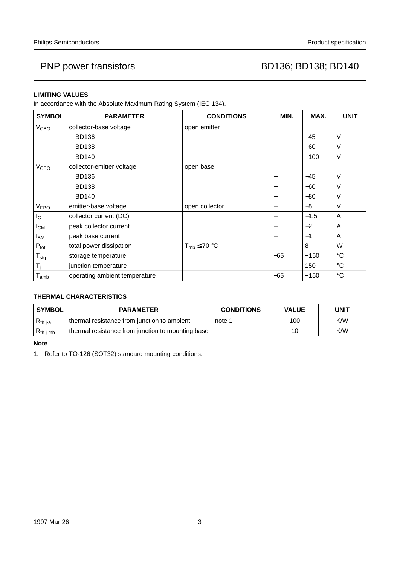## **LIMITING VALUES**

In accordance with the Absolute Maximum Rating System (IEC 134).

| <b>SYMBOL</b>           | <b>PARAMETER</b>              | <b>CONDITIONS</b>   | MIN.                             | MAX.   | <b>UNIT</b> |
|-------------------------|-------------------------------|---------------------|----------------------------------|--------|-------------|
| V <sub>CBO</sub>        | collector-base voltage        | open emitter        |                                  |        |             |
|                         | <b>BD136</b>                  |                     |                                  | $-45$  | ν           |
|                         | <b>BD138</b>                  |                     |                                  | $-60$  | ٧           |
|                         | <b>BD140</b>                  |                     | $\overbrace{\phantom{12322111}}$ | $-100$ | V           |
| <b>V<sub>CEO</sub></b>  | collector-emitter voltage     | open base           |                                  |        |             |
|                         | <b>BD136</b>                  |                     |                                  | $-45$  | V           |
|                         | <b>BD138</b>                  |                     |                                  | $-60$  | V           |
|                         | <b>BD140</b>                  |                     | —                                | $-80$  | v           |
| V <sub>EBO</sub>        | emitter-base voltage          | open collector      | —                                | $-5$   | $\vee$      |
| $I_{\rm C}$             | collector current (DC)        |                     | —                                | $-1.5$ | A           |
| $I_{CM}$                | peak collector current        |                     | —                                | $-2$   | A           |
| <b>I</b> BM             | peak base current             |                     | —                                | $-1$   | A           |
| $P_{\text{tot}}$        | total power dissipation       | $T_{mb} \leq 70$ °C |                                  | 8      | W           |
| $T_{\text{stg}}$        | storage temperature           |                     | $-65$                            | $+150$ | $^{\circ}C$ |
| $\mathsf{T}_\mathsf{i}$ | junction temperature          |                     |                                  | 150    | $^{\circ}C$ |
| $T_{amb}$               | operating ambient temperature |                     | $-65$                            | $+150$ | $^{\circ}C$ |

## **THERMAL CHARACTERISTICS**

| <b>SYMBOL</b>  | <b>PARAMETER</b>                                  | <b>CONDITIONS</b> | <b>VALUE</b> | <b>UNIT</b> |
|----------------|---------------------------------------------------|-------------------|--------------|-------------|
| $R_{th\,j-a}$  | thermal resistance from junction to ambient       | note 1            | 100          | K/W         |
| $R_{th\ j-mb}$ | thermal resistance from junction to mounting base |                   | 10           | K/W         |

**Note**

1. Refer to TO-126 (SOT32) standard mounting conditions.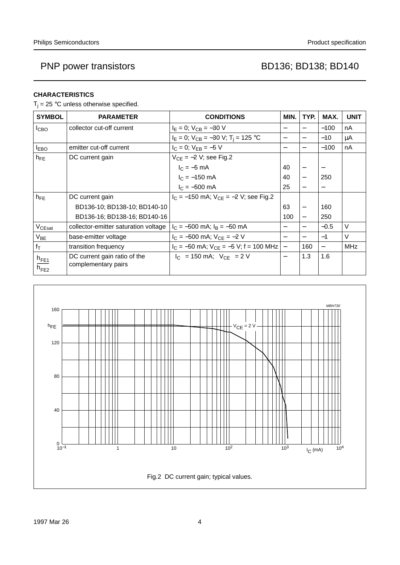## **CHARACTERISTICS**

 $T_i = 25$  °C unless otherwise specified.

| <b>SYMBOL</b>          | <b>PARAMETER</b>                                    | <b>CONDITIONS</b>                                     | MIN.                     | TYP.                     | MAX.   | <b>UNIT</b> |
|------------------------|-----------------------------------------------------|-------------------------------------------------------|--------------------------|--------------------------|--------|-------------|
| I <sub>CBO</sub>       | collector cut-off current                           | $I_F = 0$ ; $V_{CB} = -30$ V                          |                          |                          | $-100$ | nA          |
|                        |                                                     | $I_E = 0$ ; $V_{CB} = -30$ V; T <sub>i</sub> = 125 °C | $\overline{\phantom{m}}$ |                          | $-10$  | μA          |
| <b>IEBO</b>            | emitter cut-off current                             | $I_C = 0$ ; $V_{EB} = -5$ V                           | $\overline{\phantom{0}}$ | $\overline{\phantom{m}}$ | $-100$ | nA          |
| $h_{FE}$               | DC current gain                                     | $V_{CE} = -2 V$ ; see Fig.2                           |                          |                          |        |             |
|                        |                                                     | $I_C = -5$ mA                                         | 40                       |                          |        |             |
|                        |                                                     | $I_C = -150$ mA                                       | 40                       |                          | 250    |             |
|                        |                                                     | $I_C = -500$ mA                                       | 25                       |                          |        |             |
| $h_{FE}$               | DC current gain                                     | $I_C = -150$ mA; $V_{CF} = -2$ V; see Fig.2           |                          |                          |        |             |
|                        | BD136-10; BD138-10; BD140-10                        |                                                       | 63                       |                          | 160    |             |
|                        | BD136-16; BD138-16; BD140-16                        |                                                       | 100                      |                          | 250    |             |
| $V_{CEsat}$            | collector-emitter saturation voltage                | $I_C = -500$ mA; $I_B = -50$ mA                       |                          |                          | $-0.5$ | V           |
| $V_{BE}$               | base-emitter voltage                                | $I_C = -500$ mA; $V_{CE} = -2$ V                      |                          |                          | $-1$   | V           |
| $f_{\text{T}}$         | transition frequency                                | $I_C = -50$ mA; $V_{CE} = -5$ V; f = 100 MHz          | $\qquad \qquad -$        | 160                      |        | <b>MHz</b>  |
| $h_{FE1}$<br>$h_{FE2}$ | DC current gain ratio of the<br>complementary pairs | $ I_C $ = 150 mA; $ V_{CF} $ = 2 V                    | $\overline{\phantom{0}}$ | 1.3                      | 1.6    |             |

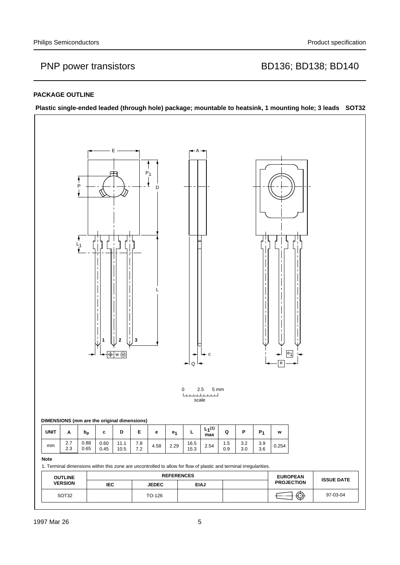### **PACKAGE OUTLINE**

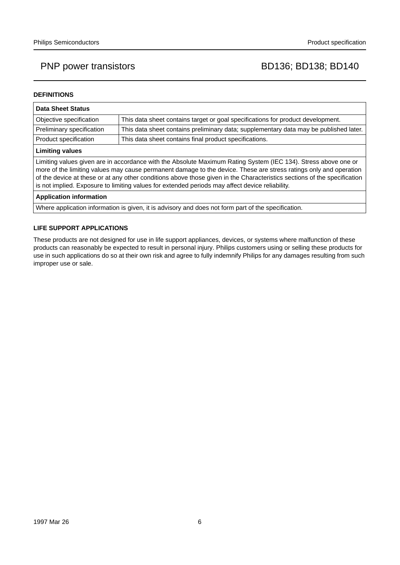### **DEFINITIONS**

| <b>Data Sheet Status</b>                                                                                                                                                                                                                                                                                                                                                                                                                                           |                                                                                       |  |  |  |
|--------------------------------------------------------------------------------------------------------------------------------------------------------------------------------------------------------------------------------------------------------------------------------------------------------------------------------------------------------------------------------------------------------------------------------------------------------------------|---------------------------------------------------------------------------------------|--|--|--|
| Objective specification                                                                                                                                                                                                                                                                                                                                                                                                                                            | This data sheet contains target or goal specifications for product development.       |  |  |  |
| Preliminary specification                                                                                                                                                                                                                                                                                                                                                                                                                                          | This data sheet contains preliminary data; supplementary data may be published later. |  |  |  |
| Product specification                                                                                                                                                                                                                                                                                                                                                                                                                                              | This data sheet contains final product specifications.                                |  |  |  |
| <b>Limiting values</b>                                                                                                                                                                                                                                                                                                                                                                                                                                             |                                                                                       |  |  |  |
| Limiting values given are in accordance with the Absolute Maximum Rating System (IEC 134). Stress above one or<br>more of the limiting values may cause permanent damage to the device. These are stress ratings only and operation<br>of the device at these or at any other conditions above those given in the Characteristics sections of the specification<br>is not implied. Exposure to limiting values for extended periods may affect device reliability. |                                                                                       |  |  |  |
| <b>Application information</b>                                                                                                                                                                                                                                                                                                                                                                                                                                     |                                                                                       |  |  |  |

Where application information is given, it is advisory and does not form part of the specification.

### **LIFE SUPPORT APPLICATIONS**

These products are not designed for use in life support appliances, devices, or systems where malfunction of these products can reasonably be expected to result in personal injury. Philips customers using or selling these products for use in such applications do so at their own risk and agree to fully indemnify Philips for any damages resulting from such improper use or sale.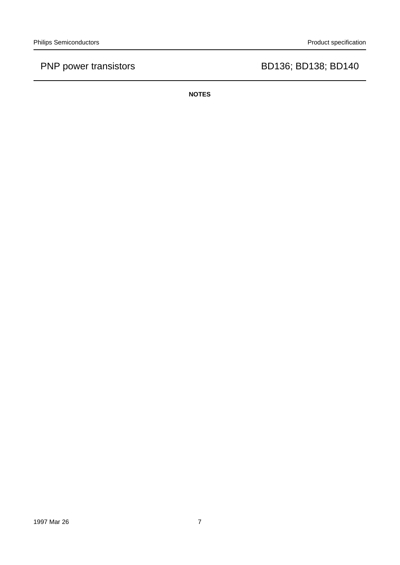**NOTES**